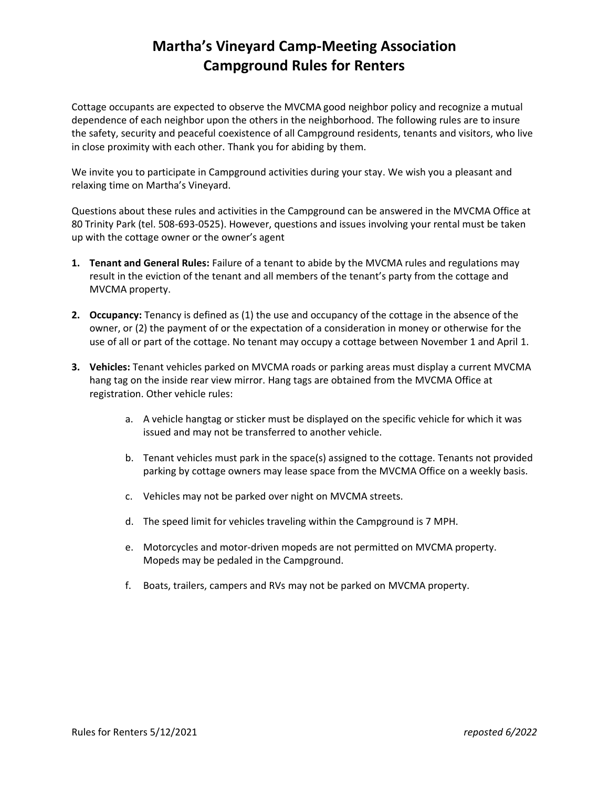## **Martha's Vineyard Camp-Meeting Association Campground Rules for Renters**

Cottage occupants are expected to observe the MVCMA good neighbor policy and recognize a mutual dependence of each neighbor upon the others in the neighborhood. The following rules are to insure the safety, security and peaceful coexistence of all Campground residents, tenants and visitors, who live in close proximity with each other. Thank you for abiding by them.

We invite you to participate in Campground activities during your stay. We wish you a pleasant and relaxing time on Martha's Vineyard.

Questions about these rules and activities in the Campground can be answered in the MVCMA Office at 80 Trinity Park (tel. 508-693-0525). However, questions and issues involving your rental must be taken up with the cottage owner or the owner's agent

- **1. Tenant and General Rules:** Failure of a tenant to abide by the MVCMA rules and regulations may result in the eviction of the tenant and all members of the tenant's party from the cottage and MVCMA property.
- **2. Occupancy:** Tenancy is defined as (1) the use and occupancy of the cottage in the absence of the owner, or (2) the payment of or the expectation of a consideration in money or otherwise for the use of all or part of the cottage. No tenant may occupy a cottage between November 1 and April 1.
- **3. Vehicles:** Tenant vehicles parked on MVCMA roads or parking areas must display a current MVCMA hang tag on the inside rear view mirror. Hang tags are obtained from the MVCMA Office at registration. Other vehicle rules:
	- a. A vehicle hangtag or sticker must be displayed on the specific vehicle for which it was issued and may not be transferred to another vehicle.
	- b. Tenant vehicles must park in the space(s) assigned to the cottage. Tenants not provided parking by cottage owners may lease space from the MVCMA Office on a weekly basis.
	- c. Vehicles may not be parked over night on MVCMA streets.
	- d. The speed limit for vehicles traveling within the Campground is 7 MPH.
	- e. Motorcycles and motor-driven mopeds are not permitted on MVCMA property. Mopeds may be pedaled in the Campground.
	- f. Boats, trailers, campers and RVs may not be parked on MVCMA property.